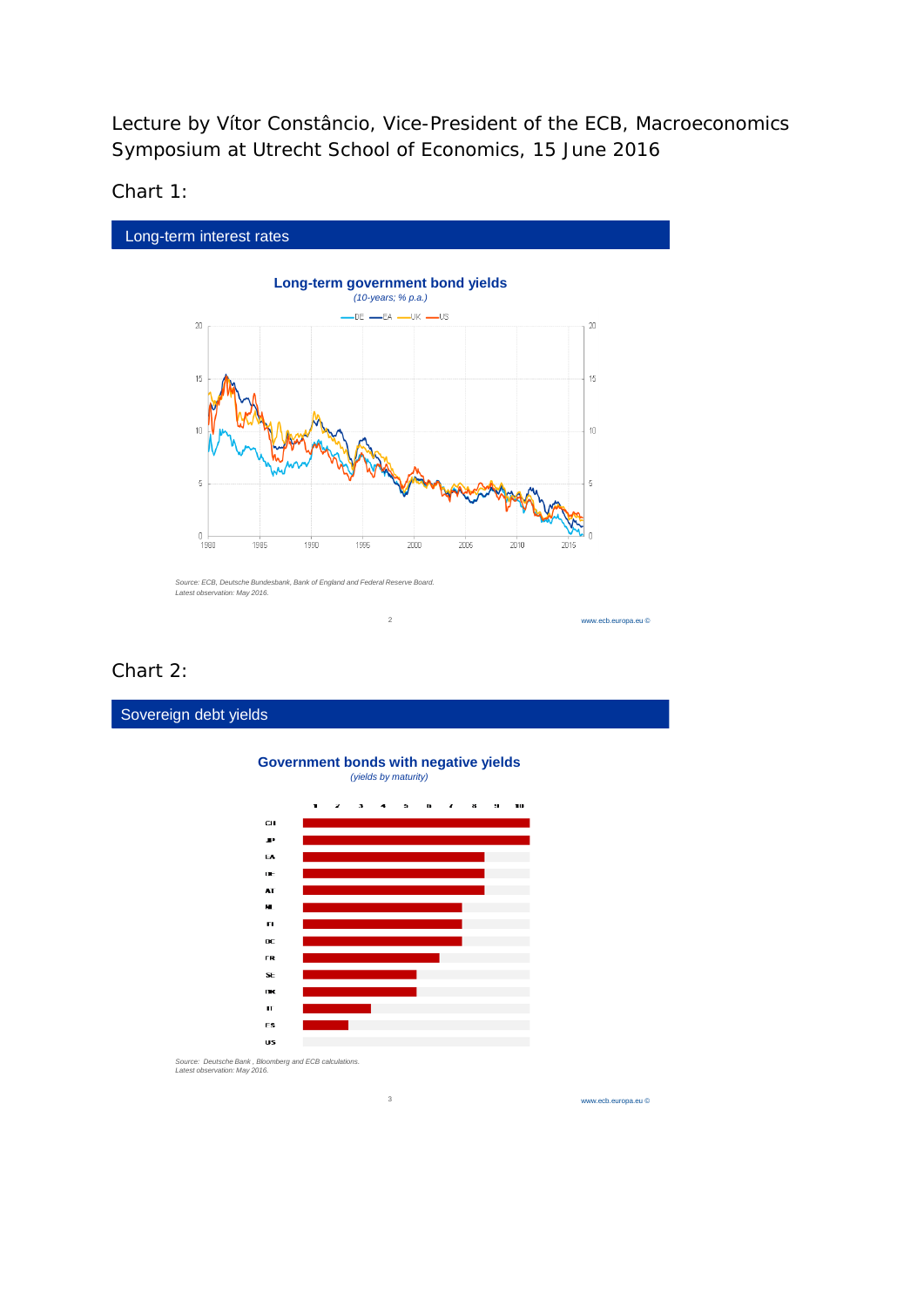Lecture by Vítor Constâncio, Vice-President of the ECB, Macroeconomics Symposium at Utrecht School of Economics, 15 June 2016

Chart 1:



# Chart 2:

Sovereign debt yields

# **Government bonds with negative yields** *(yields by maturity)*

2



3

*Source: Deutsche Bank , Bloomberg and ECB calculations. Latest observation: May 2016.*

www.ecb.europa.eu ©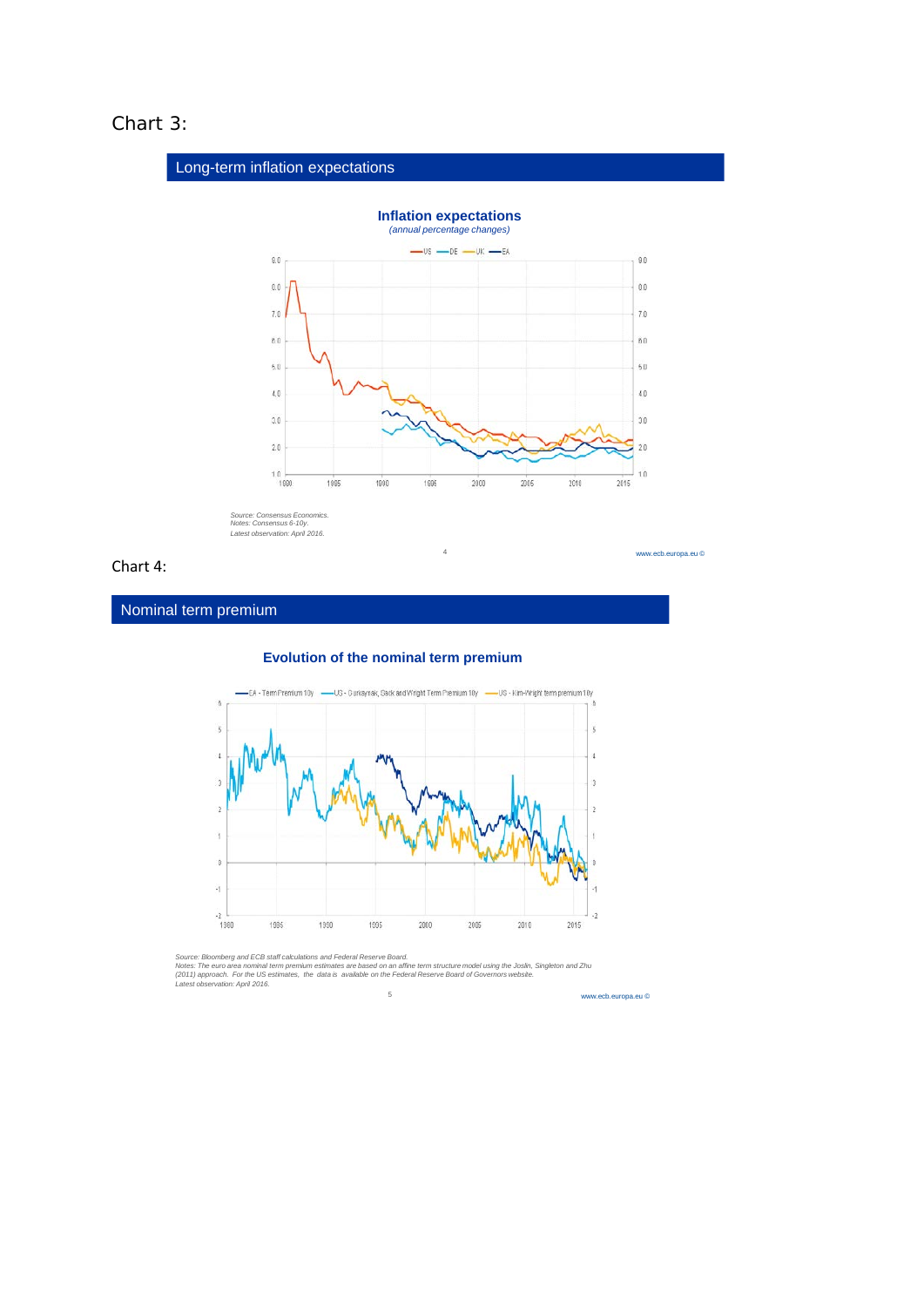# Chart 3:



## Chart 4:

Nominal term premium





Source: Bloomberg and ECB staff calculations and Federal Reserve Board.<br>Notes: The euro area nominal term premium estimates are based on an affine term structure model using the Joslin, Singleton and Zhu<br>(2011) approach. F 5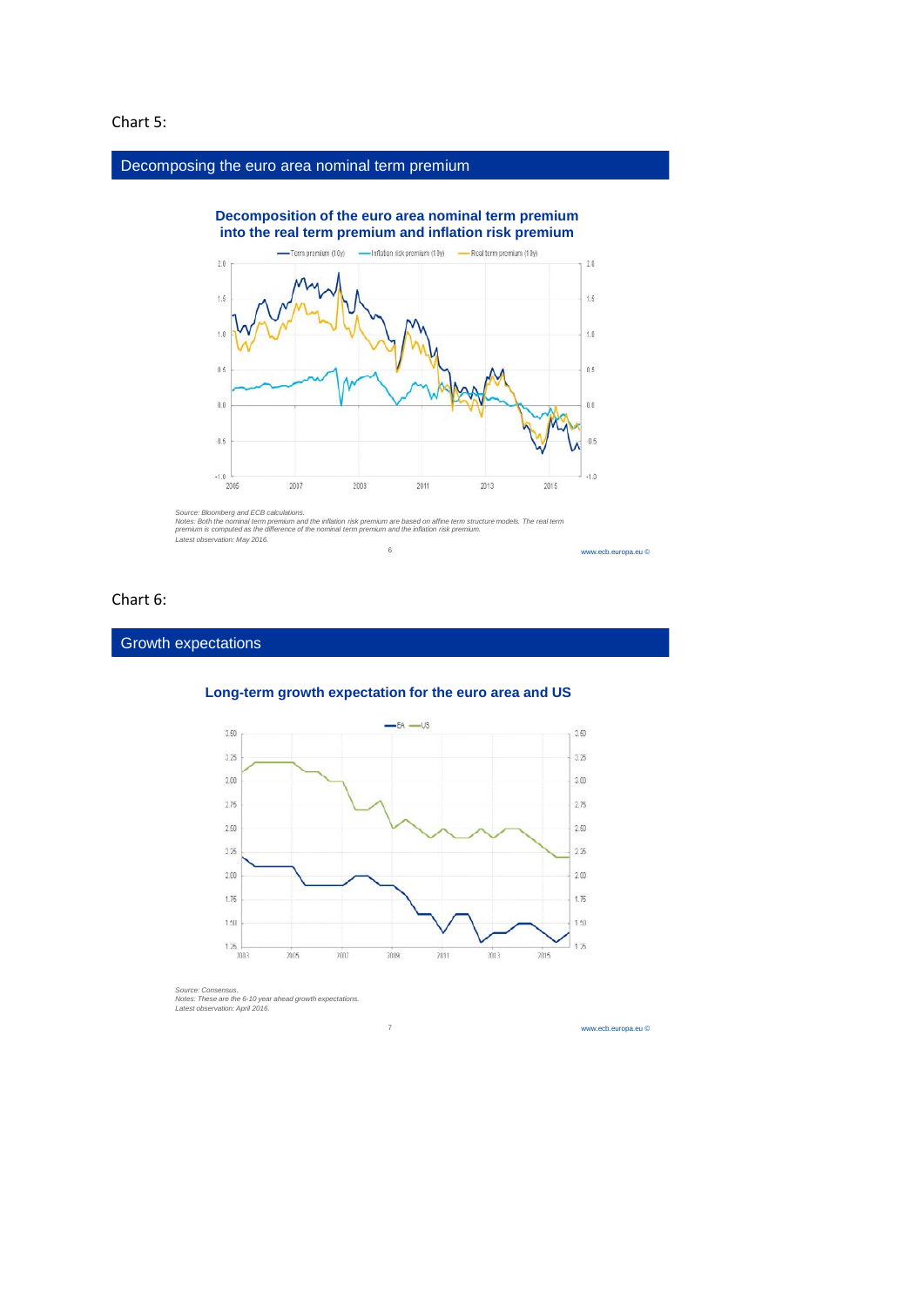### Chart 5:

#### Decomposing the euro area nominal term premium



Source: Bloomberg and ECB calculations.<br>Notes: Both the nominal term premium and the inflation risk premium are based on affine term structure models. The real term<br>premium is computed as the difference of the nominal term 6

#### www.ecb.europa.eu ©

## Chart 6:

#### **Growth expectations**



7

# **Long-term growth expectation for the euro area and US**

*Source: Consensus. Notes: These are the 6-10 year ahead growth expectations. Latest observation: April 2016.*